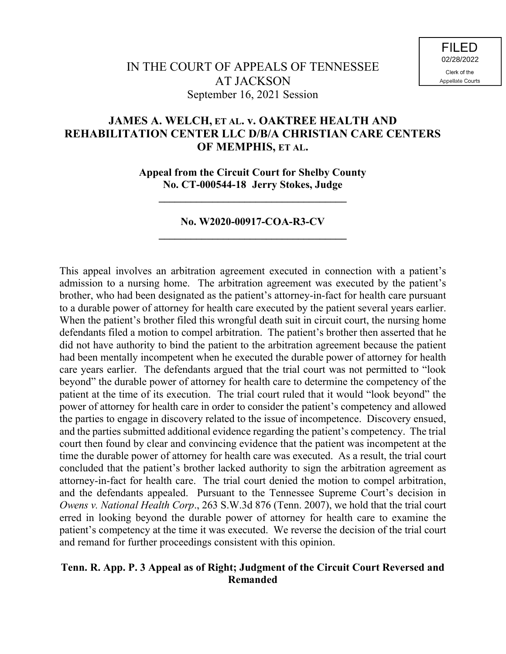# **JAMES A. WELCH, ET AL. v. OAKTREE HEALTH AND REHABILITATION CENTER LLC D/B/A CHRISTIAN CARE CENTERS OF MEMPHIS, ET AL.**

**Appeal from the Circuit Court for Shelby County No. CT-000544-18 Jerry Stokes, Judge**

**\_\_\_\_\_\_\_\_\_\_\_\_\_\_\_\_\_\_\_\_\_\_\_\_\_\_\_\_\_\_\_\_\_\_\_**

# **No. W2020-00917-COA-R3-CV \_\_\_\_\_\_\_\_\_\_\_\_\_\_\_\_\_\_\_\_\_\_\_\_\_\_\_\_\_\_\_\_\_\_\_**

This appeal involves an arbitration agreement executed in connection with a patient's admission to a nursing home. The arbitration agreement was executed by the patient's brother, who had been designated as the patient's attorney-in-fact for health care pursuant to a durable power of attorney for health care executed by the patient several years earlier. When the patient's brother filed this wrongful death suit in circuit court, the nursing home defendants filed a motion to compel arbitration. The patient's brother then asserted that he did not have authority to bind the patient to the arbitration agreement because the patient had been mentally incompetent when he executed the durable power of attorney for health care years earlier. The defendants argued that the trial court was not permitted to "look beyond" the durable power of attorney for health care to determine the competency of the patient at the time of its execution. The trial court ruled that it would "look beyond" the power of attorney for health care in order to consider the patient's competency and allowed the parties to engage in discovery related to the issue of incompetence. Discovery ensued, and the parties submitted additional evidence regarding the patient's competency. The trial court then found by clear and convincing evidence that the patient was incompetent at the time the durable power of attorney for health care was executed. As a result, the trial court concluded that the patient's brother lacked authority to sign the arbitration agreement as attorney-in-fact for health care. The trial court denied the motion to compel arbitration, and the defendants appealed. Pursuant to the Tennessee Supreme Court's decision in *Owens v. National Health Corp*., 263 S.W.3d 876 (Tenn. 2007), we hold that the trial court erred in looking beyond the durable power of attorney for health care to examine the patient's competency at the time it was executed. We reverse the decision of the trial court and remand for further proceedings consistent with this opinion.

### **Tenn. R. App. P. 3 Appeal as of Right; Judgment of the Circuit Court Reversed and Remanded**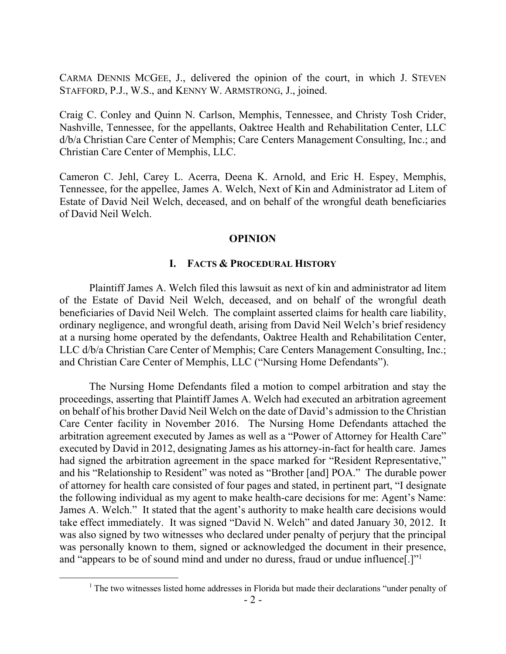CARMA DENNIS MCGEE, J., delivered the opinion of the court, in which J. STEVEN STAFFORD, P.J., W.S., and KENNY W. ARMSTRONG, J., joined.

Craig C. Conley and Quinn N. Carlson, Memphis, Tennessee, and Christy Tosh Crider, Nashville, Tennessee, for the appellants, Oaktree Health and Rehabilitation Center, LLC d/b/a Christian Care Center of Memphis; Care Centers Management Consulting, Inc.; and Christian Care Center of Memphis, LLC.

Cameron C. Jehl, Carey L. Acerra, Deena K. Arnold, and Eric H. Espey, Memphis, Tennessee, for the appellee, James A. Welch, Next of Kin and Administrator ad Litem of Estate of David Neil Welch, deceased, and on behalf of the wrongful death beneficiaries of David Neil Welch.

### **OPINION**

### **I. FACTS & PROCEDURAL HISTORY**

Plaintiff James A. Welch filed this lawsuit as next of kin and administrator ad litem of the Estate of David Neil Welch, deceased, and on behalf of the wrongful death beneficiaries of David Neil Welch. The complaint asserted claims for health care liability, ordinary negligence, and wrongful death, arising from David Neil Welch's brief residency at a nursing home operated by the defendants, Oaktree Health and Rehabilitation Center, LLC d/b/a Christian Care Center of Memphis; Care Centers Management Consulting, Inc.; and Christian Care Center of Memphis, LLC ("Nursing Home Defendants").

The Nursing Home Defendants filed a motion to compel arbitration and stay the proceedings, asserting that Plaintiff James A. Welch had executed an arbitration agreement on behalf of his brother David Neil Welch on the date of David's admission to the Christian Care Center facility in November 2016. The Nursing Home Defendants attached the arbitration agreement executed by James as well as a "Power of Attorney for Health Care" executed by David in 2012, designating James as his attorney-in-fact for health care. James had signed the arbitration agreement in the space marked for "Resident Representative," and his "Relationship to Resident" was noted as "Brother [and] POA." The durable power of attorney for health care consisted of four pages and stated, in pertinent part, "I designate the following individual as my agent to make health-care decisions for me: Agent's Name: James A. Welch." It stated that the agent's authority to make health care decisions would take effect immediately. It was signed "David N. Welch" and dated January 30, 2012. It was also signed by two witnesses who declared under penalty of perjury that the principal was personally known to them, signed or acknowledged the document in their presence, and "appears to be of sound mind and under no duress, fraud or undue influence[.]"<sup>1</sup>

 $\overline{a}$ 

<sup>&</sup>lt;sup>1</sup> The two witnesses listed home addresses in Florida but made their declarations "under penalty of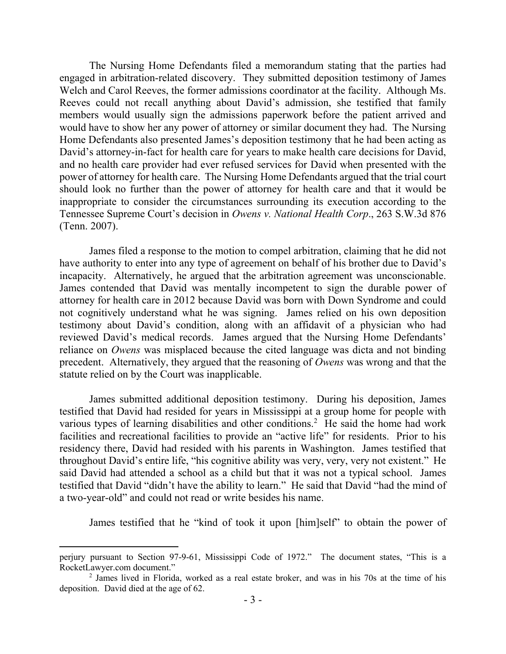The Nursing Home Defendants filed a memorandum stating that the parties had engaged in arbitration-related discovery. They submitted deposition testimony of James Welch and Carol Reeves, the former admissions coordinator at the facility. Although Ms. Reeves could not recall anything about David's admission, she testified that family members would usually sign the admissions paperwork before the patient arrived and would have to show her any power of attorney or similar document they had. The Nursing Home Defendants also presented James's deposition testimony that he had been acting as David's attorney-in-fact for health care for years to make health care decisions for David, and no health care provider had ever refused services for David when presented with the power of attorney for health care. The Nursing Home Defendants argued that the trial court should look no further than the power of attorney for health care and that it would be inappropriate to consider the circumstances surrounding its execution according to the Tennessee Supreme Court's decision in *Owens v. National Health Corp*., 263 S.W.3d 876 (Tenn. 2007).

James filed a response to the motion to compel arbitration, claiming that he did not have authority to enter into any type of agreement on behalf of his brother due to David's incapacity. Alternatively, he argued that the arbitration agreement was unconscionable. James contended that David was mentally incompetent to sign the durable power of attorney for health care in 2012 because David was born with Down Syndrome and could not cognitively understand what he was signing. James relied on his own deposition testimony about David's condition, along with an affidavit of a physician who had reviewed David's medical records. James argued that the Nursing Home Defendants' reliance on *Owens* was misplaced because the cited language was dicta and not binding precedent. Alternatively, they argued that the reasoning of *Owens* was wrong and that the statute relied on by the Court was inapplicable.

James submitted additional deposition testimony. During his deposition, James testified that David had resided for years in Mississippi at a group home for people with various types of learning disabilities and other conditions.<sup>2</sup> He said the home had work facilities and recreational facilities to provide an "active life" for residents. Prior to his residency there, David had resided with his parents in Washington. James testified that throughout David's entire life, "his cognitive ability was very, very, very not existent." He said David had attended a school as a child but that it was not a typical school. James testified that David "didn't have the ability to learn." He said that David "had the mind of a two-year-old" and could not read or write besides his name.

James testified that he "kind of took it upon [him]self" to obtain the power of

perjury pursuant to Section 97-9-61, Mississippi Code of 1972." The document states, "This is a RocketLawyer.com document."

 $2$  James lived in Florida, worked as a real estate broker, and was in his 70s at the time of his deposition. David died at the age of 62.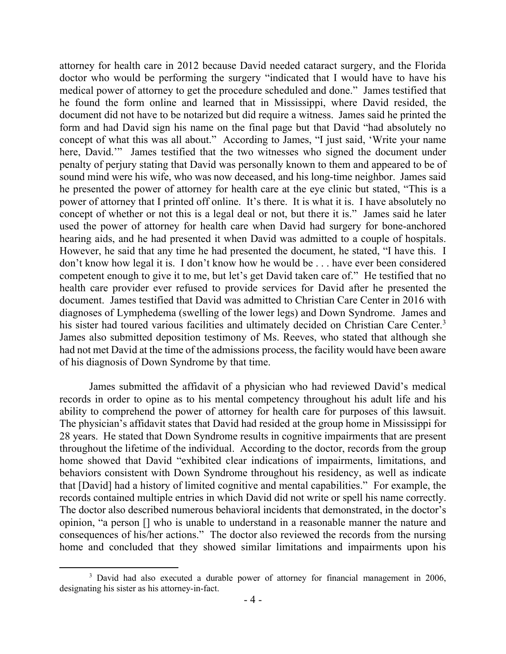attorney for health care in 2012 because David needed cataract surgery, and the Florida doctor who would be performing the surgery "indicated that I would have to have his medical power of attorney to get the procedure scheduled and done." James testified that he found the form online and learned that in Mississippi, where David resided, the document did not have to be notarized but did require a witness. James said he printed the form and had David sign his name on the final page but that David "had absolutely no concept of what this was all about." According to James, "I just said, 'Write your name here, David."" James testified that the two witnesses who signed the document under penalty of perjury stating that David was personally known to them and appeared to be of sound mind were his wife, who was now deceased, and his long-time neighbor. James said he presented the power of attorney for health care at the eye clinic but stated, "This is a power of attorney that I printed off online. It's there. It is what it is. I have absolutely no concept of whether or not this is a legal deal or not, but there it is." James said he later used the power of attorney for health care when David had surgery for bone-anchored hearing aids, and he had presented it when David was admitted to a couple of hospitals. However, he said that any time he had presented the document, he stated, "I have this. I don't know how legal it is. I don't know how he would be . . . have ever been considered competent enough to give it to me, but let's get David taken care of." He testified that no health care provider ever refused to provide services for David after he presented the document. James testified that David was admitted to Christian Care Center in 2016 with diagnoses of Lymphedema (swelling of the lower legs) and Down Syndrome. James and his sister had toured various facilities and ultimately decided on Christian Care Center.<sup>3</sup> James also submitted deposition testimony of Ms. Reeves, who stated that although she had not met David at the time of the admissions process, the facility would have been aware of his diagnosis of Down Syndrome by that time.

James submitted the affidavit of a physician who had reviewed David's medical records in order to opine as to his mental competency throughout his adult life and his ability to comprehend the power of attorney for health care for purposes of this lawsuit. The physician's affidavit states that David had resided at the group home in Mississippi for 28 years. He stated that Down Syndrome results in cognitive impairments that are present throughout the lifetime of the individual. According to the doctor, records from the group home showed that David "exhibited clear indications of impairments, limitations, and behaviors consistent with Down Syndrome throughout his residency, as well as indicate that [David] had a history of limited cognitive and mental capabilities." For example, the records contained multiple entries in which David did not write or spell his name correctly. The doctor also described numerous behavioral incidents that demonstrated, in the doctor's opinion, "a person [] who is unable to understand in a reasonable manner the nature and consequences of his/her actions." The doctor also reviewed the records from the nursing home and concluded that they showed similar limitations and impairments upon his

<sup>&</sup>lt;sup>3</sup> David had also executed a durable power of attorney for financial management in 2006, designating his sister as his attorney-in-fact.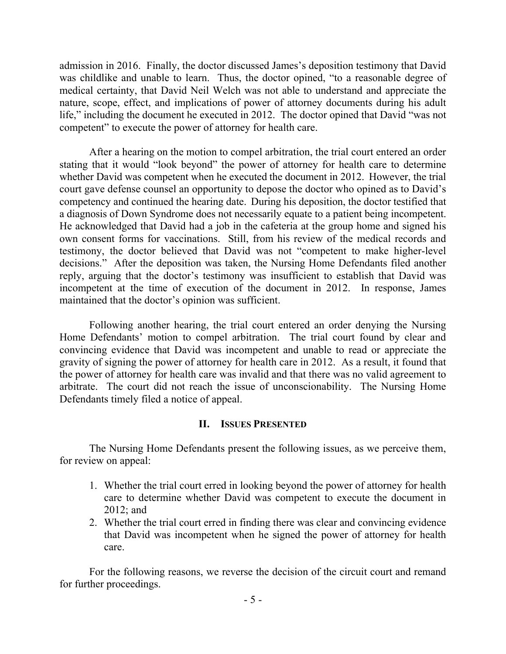admission in 2016. Finally, the doctor discussed James's deposition testimony that David was childlike and unable to learn. Thus, the doctor opined, "to a reasonable degree of medical certainty, that David Neil Welch was not able to understand and appreciate the nature, scope, effect, and implications of power of attorney documents during his adult life," including the document he executed in 2012. The doctor opined that David "was not competent" to execute the power of attorney for health care.

After a hearing on the motion to compel arbitration, the trial court entered an order stating that it would "look beyond" the power of attorney for health care to determine whether David was competent when he executed the document in 2012. However, the trial court gave defense counsel an opportunity to depose the doctor who opined as to David's competency and continued the hearing date. During his deposition, the doctor testified that a diagnosis of Down Syndrome does not necessarily equate to a patient being incompetent. He acknowledged that David had a job in the cafeteria at the group home and signed his own consent forms for vaccinations. Still, from his review of the medical records and testimony, the doctor believed that David was not "competent to make higher-level decisions." After the deposition was taken, the Nursing Home Defendants filed another reply, arguing that the doctor's testimony was insufficient to establish that David was incompetent at the time of execution of the document in 2012. In response, James maintained that the doctor's opinion was sufficient.

Following another hearing, the trial court entered an order denying the Nursing Home Defendants' motion to compel arbitration. The trial court found by clear and convincing evidence that David was incompetent and unable to read or appreciate the gravity of signing the power of attorney for health care in 2012. As a result, it found that the power of attorney for health care was invalid and that there was no valid agreement to arbitrate. The court did not reach the issue of unconscionability. The Nursing Home Defendants timely filed a notice of appeal.

### **II. ISSUES PRESENTED**

The Nursing Home Defendants present the following issues, as we perceive them, for review on appeal:

- 1. Whether the trial court erred in looking beyond the power of attorney for health care to determine whether David was competent to execute the document in 2012; and
- 2. Whether the trial court erred in finding there was clear and convincing evidence that David was incompetent when he signed the power of attorney for health care.

For the following reasons, we reverse the decision of the circuit court and remand for further proceedings.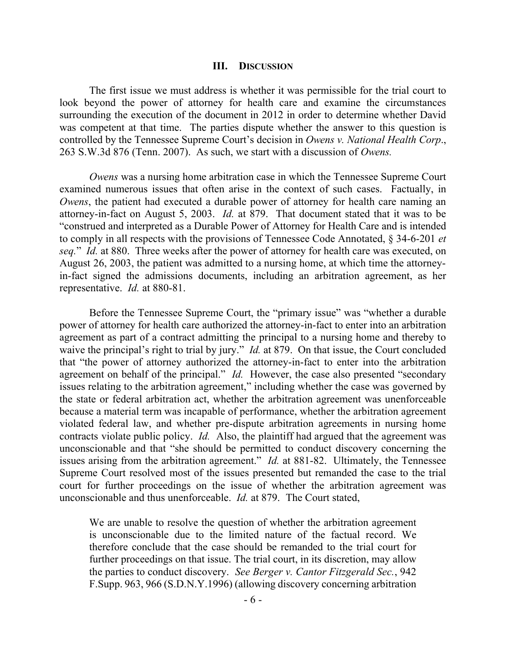#### **III. DISCUSSION**

The first issue we must address is whether it was permissible for the trial court to look beyond the power of attorney for health care and examine the circumstances surrounding the execution of the document in 2012 in order to determine whether David was competent at that time. The parties dispute whether the answer to this question is controlled by the Tennessee Supreme Court's decision in *Owens v. National Health Corp*., 263 S.W.3d 876 (Tenn. 2007). As such, we start with a discussion of *Owens.*

*Owens* was a nursing home arbitration case in which the Tennessee Supreme Court examined numerous issues that often arise in the context of such cases. Factually, in *Owens*, the patient had executed a durable power of attorney for health care naming an attorney-in-fact on August 5, 2003. *Id.* at 879. That document stated that it was to be "construed and interpreted as a Durable Power of Attorney for Health Care and is intended to comply in all respects with the provisions of Tennessee Code Annotated, § 34-6-201 *et seq.*" *Id.* at 880. Three weeks after the power of attorney for health care was executed, on August 26, 2003, the patient was admitted to a nursing home, at which time the attorneyin-fact signed the admissions documents, including an arbitration agreement, as her representative. *Id.* at 880-81.

Before the Tennessee Supreme Court, the "primary issue" was "whether a durable power of attorney for health care authorized the attorney-in-fact to enter into an arbitration agreement as part of a contract admitting the principal to a nursing home and thereby to waive the principal's right to trial by jury." *Id.* at 879. On that issue, the Court concluded that "the power of attorney authorized the attorney-in-fact to enter into the arbitration agreement on behalf of the principal." *Id.* However, the case also presented "secondary issues relating to the arbitration agreement," including whether the case was governed by the state or federal arbitration act, whether the arbitration agreement was unenforceable because a material term was incapable of performance, whether the arbitration agreement violated federal law, and whether pre-dispute arbitration agreements in nursing home contracts violate public policy. *Id.* Also, the plaintiff had argued that the agreement was unconscionable and that "she should be permitted to conduct discovery concerning the issues arising from the arbitration agreement." *Id.* at 881-82. Ultimately, the Tennessee Supreme Court resolved most of the issues presented but remanded the case to the trial court for further proceedings on the issue of whether the arbitration agreement was unconscionable and thus unenforceable. *Id.* at 879.The Court stated,

We are unable to resolve the question of whether the arbitration agreement is unconscionable due to the limited nature of the factual record. We therefore conclude that the case should be remanded to the trial court for further proceedings on that issue. The trial court, in its discretion, may allow the parties to conduct discovery. *See Berger v. Cantor Fitzgerald Sec.*, 942 F.Supp. 963, 966 (S.D.N.Y.1996) (allowing discovery concerning arbitration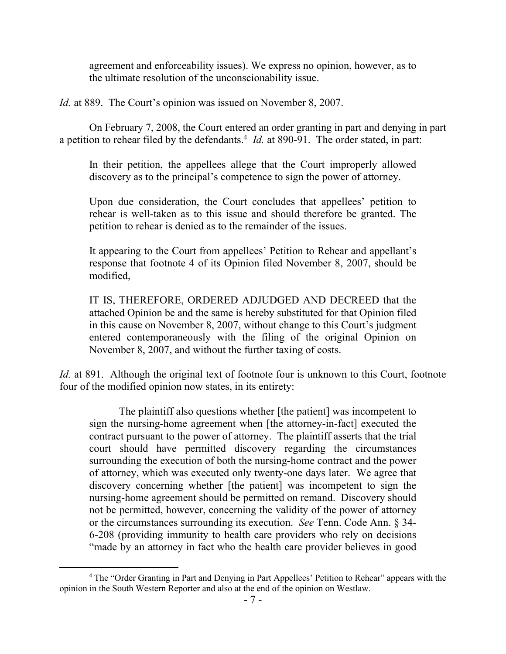agreement and enforceability issues). We express no opinion, however, as to the ultimate resolution of the unconscionability issue.

*Id.* at 889. The Court's opinion was issued on November 8, 2007.

On February 7, 2008, the Court entered an order granting in part and denying in part a petition to rehear filed by the defendants.<sup>4</sup> *Id.* at 890-91. The order stated, in part:

In their petition, the appellees allege that the Court improperly allowed discovery as to the principal's competence to sign the power of attorney.

Upon due consideration, the Court concludes that appellees' petition to rehear is well-taken as to this issue and should therefore be granted. The petition to rehear is denied as to the remainder of the issues.

It appearing to the Court from appellees' Petition to Rehear and appellant's response that footnote 4 of its Opinion filed November 8, 2007, should be modified,

IT IS, THEREFORE, ORDERED ADJUDGED AND DECREED that the attached Opinion be and the same is hereby substituted for that Opinion filed in this cause on November 8, 2007, without change to this Court's judgment entered contemporaneously with the filing of the original Opinion on November 8, 2007, and without the further taxing of costs.

*Id.* at 891. Although the original text of footnote four is unknown to this Court, footnote four of the modified opinion now states, in its entirety:

The plaintiff also questions whether [the patient] was incompetent to sign the nursing-home agreement when [the attorney-in-fact] executed the contract pursuant to the power of attorney. The plaintiff asserts that the trial court should have permitted discovery regarding the circumstances surrounding the execution of both the nursing-home contract and the power of attorney, which was executed only twenty-one days later. We agree that discovery concerning whether [the patient] was incompetent to sign the nursing-home agreement should be permitted on remand. Discovery should not be permitted, however, concerning the validity of the power of attorney or the circumstances surrounding its execution. *See* Tenn. Code Ann. § 34- 6-208 (providing immunity to health care providers who rely on decisions "made by an attorney in fact who the health care provider believes in good

<sup>&</sup>lt;sup>4</sup> The "Order Granting in Part and Denying in Part Appellees' Petition to Rehear" appears with the opinion in the South Western Reporter and also at the end of the opinion on Westlaw.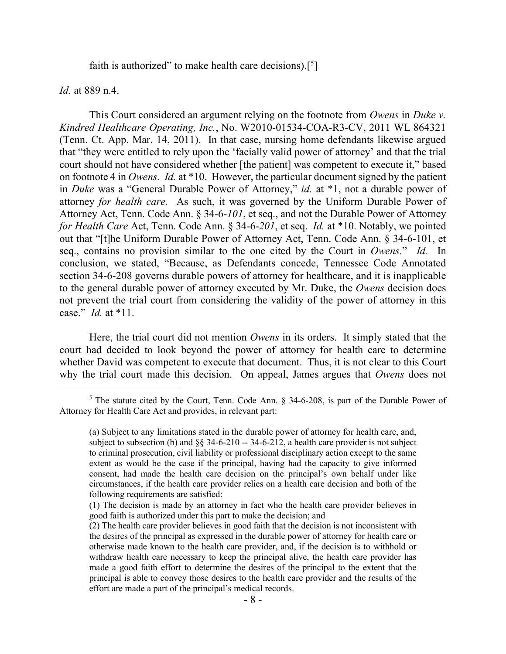faith is authorized" to make health care decisions).<sup>[5</sup>]

*Id.* at 889 n.4.

 $\overline{a}$ 

This Court considered an argument relying on the footnote from *Owens* in *Duke v. Kindred Healthcare Operating, Inc.*, No. W2010-01534-COA-R3-CV, 2011 WL 864321 (Tenn. Ct. App. Mar. 14, 2011). In that case, nursing home defendants likewise argued that "they were entitled to rely upon the 'facially valid power of attorney' and that the trial court should not have considered whether [the patient] was competent to execute it," based on footnote 4 in *Owens. Id.* at \*10. However, the particular document signed by the patient in *Duke* was a "General Durable Power of Attorney," *id.* at \*1, not a durable power of attorney *for health care.* As such, it was governed by the Uniform Durable Power of Attorney Act, Tenn. Code Ann. § 34-6-*101*, et seq., and not the Durable Power of Attorney *for Health Care* Act, Tenn. Code Ann. § 34-6-*201*, et seq. *Id.* at \*10. Notably, we pointed out that "[t]he Uniform Durable Power of Attorney Act, Tenn. Code Ann. § 34-6-101, et seq., contains no provision similar to the one cited by the Court in *Owens*." *Id.* In conclusion, we stated, "Because, as Defendants concede, Tennessee Code Annotated section 34-6-208 governs durable powers of attorney for healthcare, and it is inapplicable to the general durable power of attorney executed by Mr. Duke, the *Owens* decision does not prevent the trial court from considering the validity of the power of attorney in this case." *Id.* at \*11.

Here, the trial court did not mention *Owens* in its orders. It simply stated that the court had decided to look beyond the power of attorney for health care to determine whether David was competent to execute that document. Thus, it is not clear to this Court why the trial court made this decision. On appeal, James argues that *Owens* does not

 $5$  The statute cited by the Court, Tenn. Code Ann. § 34-6-208, is part of the Durable Power of Attorney for Health Care Act and provides, in relevant part:

<sup>(</sup>a) Subject to any limitations stated in the durable power of attorney for health care, and, subject to subsection (b) and  $\S$  34-6-210 -- 34-6-212, a health care provider is not subject to criminal prosecution, civil liability or professional disciplinary action except to the same extent as would be the case if the principal, having had the capacity to give informed consent, had made the health care decision on the principal's own behalf under like circumstances, if the health care provider relies on a health care decision and both of the following requirements are satisfied:

<sup>(1)</sup> The decision is made by an attorney in fact who the health care provider believes in good faith is authorized under this part to make the decision; and

<sup>(2)</sup> The health care provider believes in good faith that the decision is not inconsistent with the desires of the principal as expressed in the durable power of attorney for health care or otherwise made known to the health care provider, and, if the decision is to withhold or withdraw health care necessary to keep the principal alive, the health care provider has made a good faith effort to determine the desires of the principal to the extent that the principal is able to convey those desires to the health care provider and the results of the effort are made a part of the principal's medical records.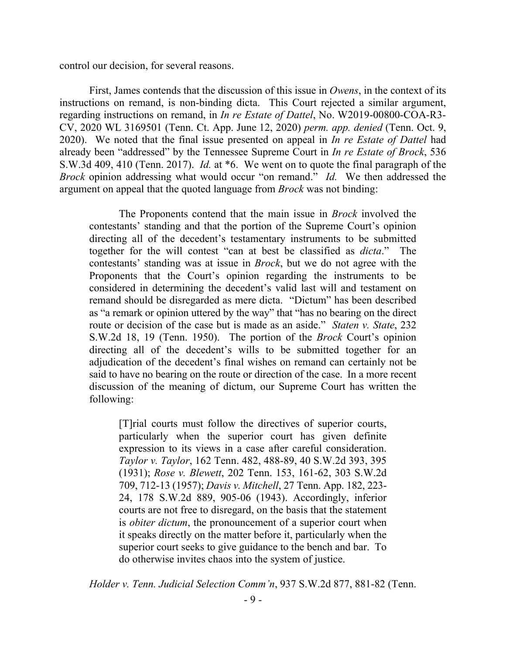control our decision, for several reasons.

First, James contends that the discussion of this issue in *Owens*, in the context of its instructions on remand, is non-binding dicta. This Court rejected a similar argument, regarding instructions on remand, in *In re Estate of Dattel*, No. W2019-00800-COA-R3- CV, 2020 WL 3169501 (Tenn. Ct. App. June 12, 2020) *perm. app. denied* (Tenn. Oct. 9, 2020). We noted that the final issue presented on appeal in *In re Estate of Dattel* had already been "addressed" by the Tennessee Supreme Court in *In re Estate of Brock*, 536 S.W.3d 409, 410 (Tenn. 2017). *Id.* at \*6. We went on to quote the final paragraph of the *Brock* opinion addressing what would occur "on remand." *Id.* We then addressed the argument on appeal that the quoted language from *Brock* was not binding:

The Proponents contend that the main issue in *Brock* involved the contestants' standing and that the portion of the Supreme Court's opinion directing all of the decedent's testamentary instruments to be submitted together for the will contest "can at best be classified as *dicta*." The contestants' standing was at issue in *Brock*, but we do not agree with the Proponents that the Court's opinion regarding the instruments to be considered in determining the decedent's valid last will and testament on remand should be disregarded as mere dicta. "Dictum" has been described as "a remark or opinion uttered by the way" that "has no bearing on the direct route or decision of the case but is made as an aside." *Staten v. State*, 232 S.W.2d 18, 19 (Tenn. 1950). The portion of the *Brock* Court's opinion directing all of the decedent's wills to be submitted together for an adjudication of the decedent's final wishes on remand can certainly not be said to have no bearing on the route or direction of the case. In a more recent discussion of the meaning of dictum, our Supreme Court has written the following:

[T]rial courts must follow the directives of superior courts, particularly when the superior court has given definite expression to its views in a case after careful consideration. *Taylor v. Taylor*, 162 Tenn. 482, 488-89, 40 S.W.2d 393, 395 (1931); *Rose v. Blewett*, 202 Tenn. 153, 161-62, 303 S.W.2d 709, 712-13 (1957); *Davis v. Mitchell*, 27 Tenn. App. 182, 223- 24, 178 S.W.2d 889, 905-06 (1943). Accordingly, inferior courts are not free to disregard, on the basis that the statement is *obiter dictum*, the pronouncement of a superior court when it speaks directly on the matter before it, particularly when the superior court seeks to give guidance to the bench and bar. To do otherwise invites chaos into the system of justice.

*Holder v. Tenn. Judicial Selection Comm'n*, 937 S.W.2d 877, 881-82 (Tenn.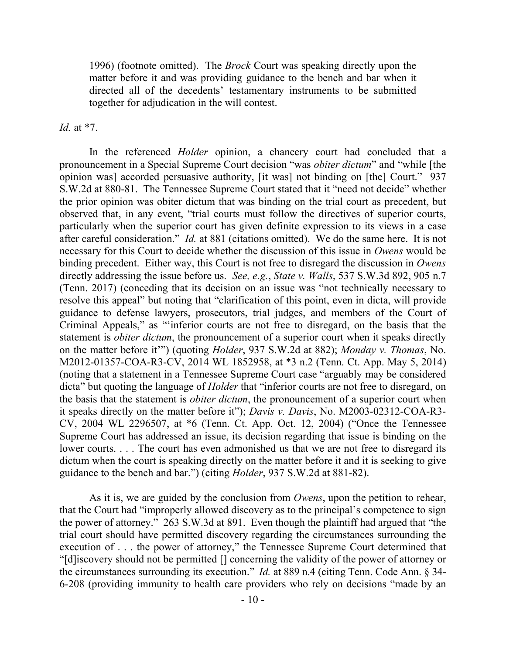1996) (footnote omitted). The *Brock* Court was speaking directly upon the matter before it and was providing guidance to the bench and bar when it directed all of the decedents' testamentary instruments to be submitted together for adjudication in the will contest.

*Id.* at \*7.

In the referenced *Holder* opinion, a chancery court had concluded that a pronouncement in a Special Supreme Court decision "was *obiter dictum*" and "while [the opinion was] accorded persuasive authority, [it was] not binding on [the] Court." 937 S.W.2d at 880-81. The Tennessee Supreme Court stated that it "need not decide" whether the prior opinion was obiter dictum that was binding on the trial court as precedent, but observed that, in any event, "trial courts must follow the directives of superior courts, particularly when the superior court has given definite expression to its views in a case after careful consideration." *Id.* at 881 (citations omitted). We do the same here. It is not necessary for this Court to decide whether the discussion of this issue in *Owens* would be binding precedent. Either way, this Court is not free to disregard the discussion in *Owens* directly addressing the issue before us. *See, e.g.*, *State v. Walls*, 537 S.W.3d 892, 905 n.7 (Tenn. 2017) (conceding that its decision on an issue was "not technically necessary to resolve this appeal" but noting that "clarification of this point, even in dicta, will provide guidance to defense lawyers, prosecutors, trial judges, and members of the Court of Criminal Appeals," as "'inferior courts are not free to disregard, on the basis that the statement is *obiter dictum*, the pronouncement of a superior court when it speaks directly on the matter before it'") (quoting *Holder*, 937 S.W.2d at 882); *Monday v. Thomas*, No. M2012-01357-COA-R3-CV, 2014 WL 1852958, at \*3 n.2 (Tenn. Ct. App. May 5, 2014) (noting that a statement in a Tennessee Supreme Court case "arguably may be considered dicta" but quoting the language of *Holder* that "inferior courts are not free to disregard, on the basis that the statement is *obiter dictum*, the pronouncement of a superior court when it speaks directly on the matter before it"); *Davis v. Davis*, No. M2003-02312-COA-R3- CV, 2004 WL 2296507, at \*6 (Tenn. Ct. App. Oct. 12, 2004) ("Once the Tennessee Supreme Court has addressed an issue, its decision regarding that issue is binding on the lower courts. . . . The court has even admonished us that we are not free to disregard its dictum when the court is speaking directly on the matter before it and it is seeking to give guidance to the bench and bar.") (citing *Holder*, 937 S.W.2d at 881-82).

As it is, we are guided by the conclusion from *Owens*, upon the petition to rehear, that the Court had "improperly allowed discovery as to the principal's competence to sign the power of attorney." 263 S.W.3d at 891. Even though the plaintiff had argued that "the trial court should have permitted discovery regarding the circumstances surrounding the execution of . . . the power of attorney," the Tennessee Supreme Court determined that "[d]iscovery should not be permitted [] concerning the validity of the power of attorney or the circumstances surrounding its execution." *Id.* at 889 n.4 (citing Tenn. Code Ann. § 34- 6-208 (providing immunity to health care providers who rely on decisions "made by an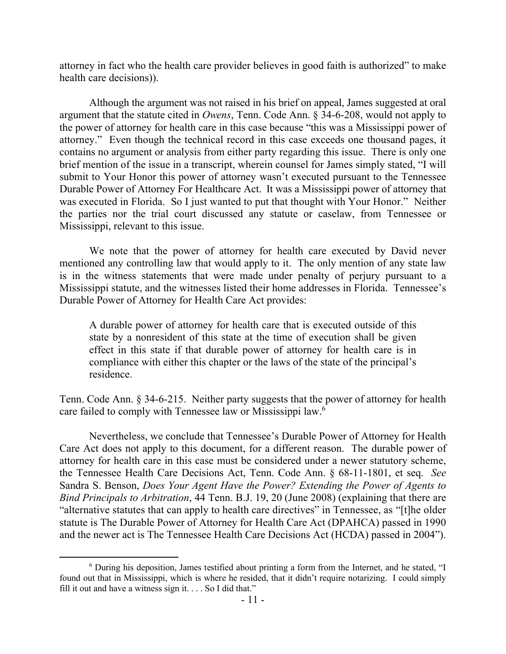attorney in fact who the health care provider believes in good faith is authorized" to make health care decisions)).

Although the argument was not raised in his brief on appeal, James suggested at oral argument that the statute cited in *Owens*, Tenn. Code Ann. § 34-6-208, would not apply to the power of attorney for health care in this case because "this was a Mississippi power of attorney." Even though the technical record in this case exceeds one thousand pages, it contains no argument or analysis from either party regarding this issue. There is only one brief mention of the issue in a transcript, wherein counsel for James simply stated, "I will submit to Your Honor this power of attorney wasn't executed pursuant to the Tennessee Durable Power of Attorney For Healthcare Act. It was a Mississippi power of attorney that was executed in Florida. So I just wanted to put that thought with Your Honor." Neither the parties nor the trial court discussed any statute or caselaw, from Tennessee or Mississippi, relevant to this issue.

We note that the power of attorney for health care executed by David never mentioned any controlling law that would apply to it. The only mention of any state law is in the witness statements that were made under penalty of perjury pursuant to a Mississippi statute, and the witnesses listed their home addresses in Florida. Tennessee's Durable Power of Attorney for Health Care Act provides:

A durable power of attorney for health care that is executed outside of this state by a nonresident of this state at the time of execution shall be given effect in this state if that durable power of attorney for health care is in compliance with either this chapter or the laws of the state of the principal's residence.

Tenn. Code Ann. § 34-6-215. Neither party suggests that the power of attorney for health care failed to comply with Tennessee law or Mississippi law.<sup>6</sup>

Nevertheless, we conclude that Tennessee's Durable Power of Attorney for Health Care Act does not apply to this document, for a different reason. The durable power of attorney for health care in this case must be considered under a newer statutory scheme, the Tennessee Health Care Decisions Act, Tenn. Code Ann. § 68-11-1801, et seq. *See*  Sandra S. Benson, *Does Your Agent Have the Power? Extending the Power of Agents to Bind Principals to Arbitration*, 44 Tenn. B.J. 19, 20 (June 2008) (explaining that there are "alternative statutes that can apply to health care directives" in Tennessee, as "[t]he older statute is The Durable Power of Attorney for Health Care Act (DPAHCA) passed in 1990 and the newer act is The Tennessee Health Care Decisions Act (HCDA) passed in 2004").

<sup>6</sup> During his deposition, James testified about printing a form from the Internet, and he stated, "I found out that in Mississippi, which is where he resided, that it didn't require notarizing. I could simply fill it out and have a witness sign it. . . . So I did that."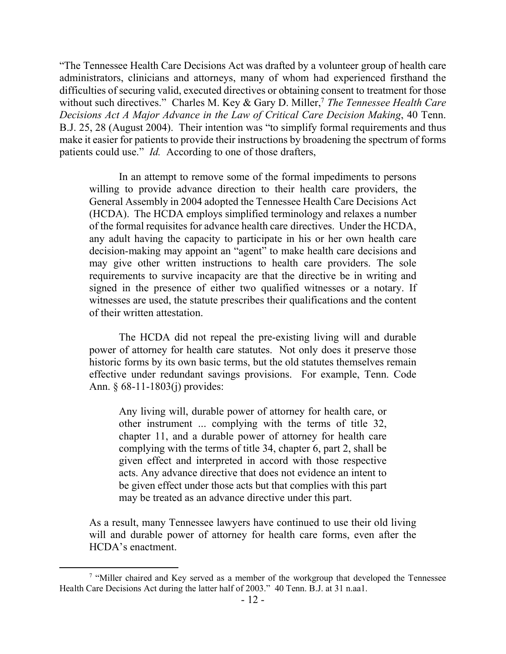"The Tennessee Health Care Decisions Act was drafted by a volunteer group of health care administrators, clinicians and attorneys, many of whom had experienced firsthand the difficulties of securing valid, executed directives or obtaining consent to treatment for those without such directives." Charles M. Key & Gary D. Miller,<sup>7</sup> The Tennessee Health Care *Decisions Act A Major Advance in the Law of Critical Care Decision Making*, 40 Tenn. B.J. 25, 28 (August 2004). Their intention was "to simplify formal requirements and thus make it easier for patients to provide their instructions by broadening the spectrum of forms patients could use." *Id.* According to one of those drafters,

In an attempt to remove some of the formal impediments to persons willing to provide advance direction to their health care providers, the General Assembly in 2004 adopted the Tennessee Health Care Decisions Act (HCDA). The HCDA employs simplified terminology and relaxes a number of the formal requisites for advance health care directives. Under the HCDA, any adult having the capacity to participate in his or her own health care decision-making may appoint an "agent" to make health care decisions and may give other written instructions to health care providers. The sole requirements to survive incapacity are that the directive be in writing and signed in the presence of either two qualified witnesses or a notary. If witnesses are used, the statute prescribes their qualifications and the content of their written attestation.

The HCDA did not repeal the pre-existing living will and durable power of attorney for health care statutes. Not only does it preserve those historic forms by its own basic terms, but the old statutes themselves remain effective under redundant savings provisions. For example, Tenn. Code Ann. § 68-11-1803(j) provides:

Any living will, durable power of attorney for health care, or other instrument ... complying with the terms of title 32, chapter 11, and a durable power of attorney for health care complying with the terms of title 34, chapter 6, part 2, shall be given effect and interpreted in accord with those respective acts. Any advance directive that does not evidence an intent to be given effect under those acts but that complies with this part may be treated as an advance directive under this part.

As a result, many Tennessee lawyers have continued to use their old living will and durable power of attorney for health care forms, even after the HCDA's enactment.

<sup>&</sup>lt;sup>7</sup> "Miller chaired and Key served as a member of the workgroup that developed the Tennessee Health Care Decisions Act during the latter half of 2003." 40 Tenn. B.J. at 31 n.aa1.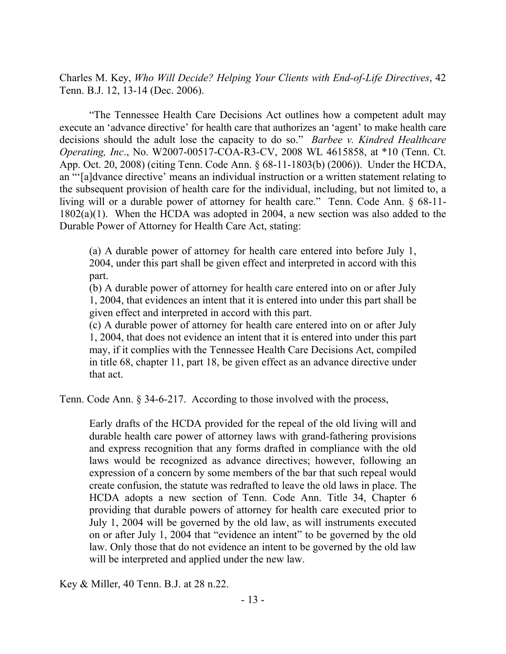Charles M. Key, *Who Will Decide? Helping Your Clients with End-of-Life Directives*, 42 Tenn. B.J. 12, 13-14 (Dec. 2006).

"The Tennessee Health Care Decisions Act outlines how a competent adult may execute an 'advance directive' for health care that authorizes an 'agent' to make health care decisions should the adult lose the capacity to do so." *Barbee v. Kindred Healthcare Operating, Inc*., No. W2007-00517-COA-R3-CV, 2008 WL 4615858, at \*10 (Tenn. Ct. App. Oct. 20, 2008) (citing Tenn. Code Ann. § 68-11-1803(b) (2006)). Under the HCDA, an "'[a]dvance directive' means an individual instruction or a written statement relating to the subsequent provision of health care for the individual, including, but not limited to, a living will or a durable power of attorney for health care." Tenn. Code Ann. § 68-11- 1802(a)(1). When the HCDA was adopted in 2004, a new section was also added to the Durable Power of Attorney for Health Care Act, stating:

(a) A durable power of attorney for health care entered into before July 1, 2004, under this part shall be given effect and interpreted in accord with this part.

(b) A durable power of attorney for health care entered into on or after July 1, 2004, that evidences an intent that it is entered into under this part shall be given effect and interpreted in accord with this part.

(c) A durable power of attorney for health care entered into on or after July 1, 2004, that does not evidence an intent that it is entered into under this part may, if it complies with the Tennessee Health Care Decisions Act, compiled in title 68, chapter 11, part 18, be given effect as an advance directive under that act.

Tenn. Code Ann. § 34-6-217. According to those involved with the process,

Early drafts of the HCDA provided for the repeal of the old living will and durable health care power of attorney laws with grand-fathering provisions and express recognition that any forms drafted in compliance with the old laws would be recognized as advance directives; however, following an expression of a concern by some members of the bar that such repeal would create confusion, the statute was redrafted to leave the old laws in place. The HCDA adopts a new section of Tenn. Code Ann. Title 34, Chapter 6 providing that durable powers of attorney for health care executed prior to July 1, 2004 will be governed by the old law, as will instruments executed on or after July 1, 2004 that "evidence an intent" to be governed by the old law. Only those that do not evidence an intent to be governed by the old law will be interpreted and applied under the new law.

Key & Miller, 40 Tenn. B.J. at 28 n.22.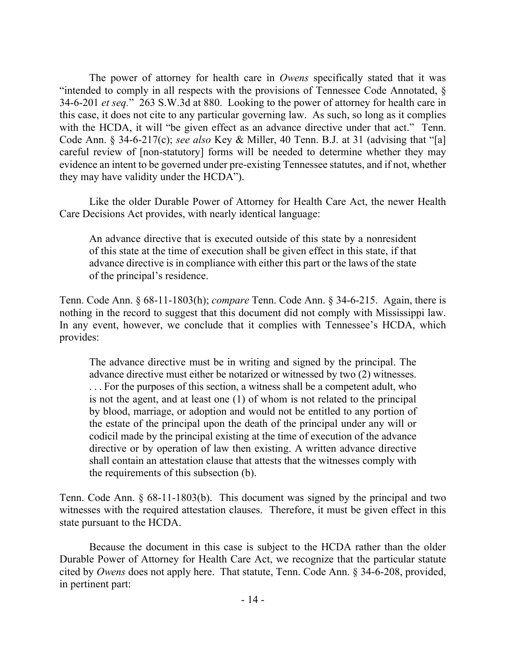The power of attorney for health care in *Owens* specifically stated that it was "intended to comply in all respects with the provisions of Tennessee Code Annotated, § 34-6-201 *et seq.*" 263 S.W.3d at 880. Looking to the power of attorney for health care in this case, it does not cite to any particular governing law. As such, so long as it complies with the HCDA, it will "be given effect as an advance directive under that act." Tenn. Code Ann. § 34-6-217(c); *see also* Key & Miller, 40 Tenn. B.J. at 31 (advising that "[a] careful review of [non-statutory] forms will be needed to determine whether they may evidence an intent to be governed under pre-existing Tennessee statutes, and if not, whether they may have validity under the HCDA").

Like the older Durable Power of Attorney for Health Care Act, the newer Health Care Decisions Act provides, with nearly identical language:

An advance directive that is executed outside of this state by a nonresident of this state at the time of execution shall be given effect in this state, if that advance directive is in compliance with either this part or the laws of the state of the principal's residence.

Tenn. Code Ann. § 68-11-1803(h); *compare* Tenn. Code Ann. § 34-6-215. Again, there is nothing in the record to suggest that this document did not comply with Mississippi law. In any event, however, we conclude that it complies with Tennessee's HCDA, which provides:

The advance directive must be in writing and signed by the principal. The advance directive must either be notarized or witnessed by two (2) witnesses. . . . For the purposes of this section, a witness shall be a competent adult, who is not the agent, and at least one (1) of whom is not related to the principal by blood, marriage, or adoption and would not be entitled to any portion of the estate of the principal upon the death of the principal under any will or codicil made by the principal existing at the time of execution of the advance directive or by operation of law then existing. A written advance directive shall contain an attestation clause that attests that the witnesses comply with the requirements of this subsection (b).

Tenn. Code Ann. § 68-11-1803(b). This document was signed by the principal and two witnesses with the required attestation clauses. Therefore, it must be given effect in this state pursuant to the HCDA.

Because the document in this case is subject to the HCDA rather than the older Durable Power of Attorney for Health Care Act, we recognize that the particular statute cited by *Owens* does not apply here. That statute, Tenn. Code Ann. § 34-6-208, provided, in pertinent part: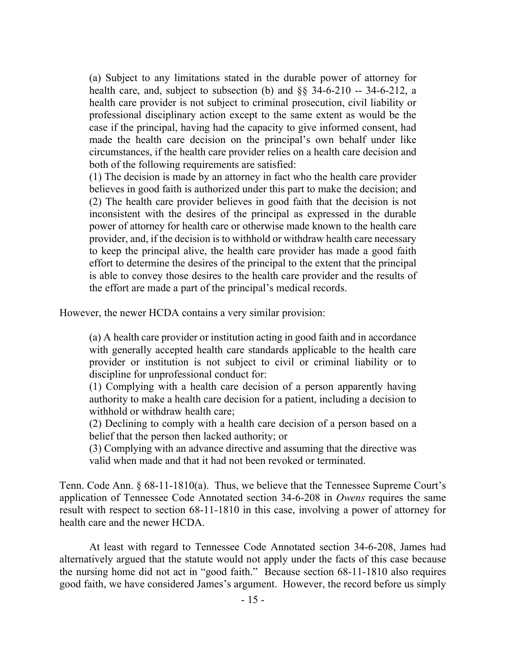(a) Subject to any limitations stated in the durable power of attorney for health care, and, subject to subsection (b) and §§ 34-6-210 -- 34-6-212, a health care provider is not subject to criminal prosecution, civil liability or professional disciplinary action except to the same extent as would be the case if the principal, having had the capacity to give informed consent, had made the health care decision on the principal's own behalf under like circumstances, if the health care provider relies on a health care decision and both of the following requirements are satisfied:

(1) The decision is made by an attorney in fact who the health care provider believes in good faith is authorized under this part to make the decision; and (2) The health care provider believes in good faith that the decision is not inconsistent with the desires of the principal as expressed in the durable power of attorney for health care or otherwise made known to the health care provider, and, if the decision is to withhold or withdraw health care necessary to keep the principal alive, the health care provider has made a good faith effort to determine the desires of the principal to the extent that the principal is able to convey those desires to the health care provider and the results of the effort are made a part of the principal's medical records.

However, the newer HCDA contains a very similar provision:

(a) A health care provider or institution acting in good faith and in accordance with generally accepted health care standards applicable to the health care provider or institution is not subject to civil or criminal liability or to discipline for unprofessional conduct for:

(1) Complying with a health care decision of a person apparently having authority to make a health care decision for a patient, including a decision to withhold or withdraw health care;

(2) Declining to comply with a health care decision of a person based on a belief that the person then lacked authority; or

(3) Complying with an advance directive and assuming that the directive was valid when made and that it had not been revoked or terminated.

Tenn. Code Ann. § 68-11-1810(a). Thus, we believe that the Tennessee Supreme Court's application of Tennessee Code Annotated section 34-6-208 in *Owens* requires the same result with respect to section 68-11-1810 in this case, involving a power of attorney for health care and the newer HCDA.

At least with regard to Tennessee Code Annotated section 34-6-208, James had alternatively argued that the statute would not apply under the facts of this case because the nursing home did not act in "good faith." Because section 68-11-1810 also requires good faith, we have considered James's argument. However, the record before us simply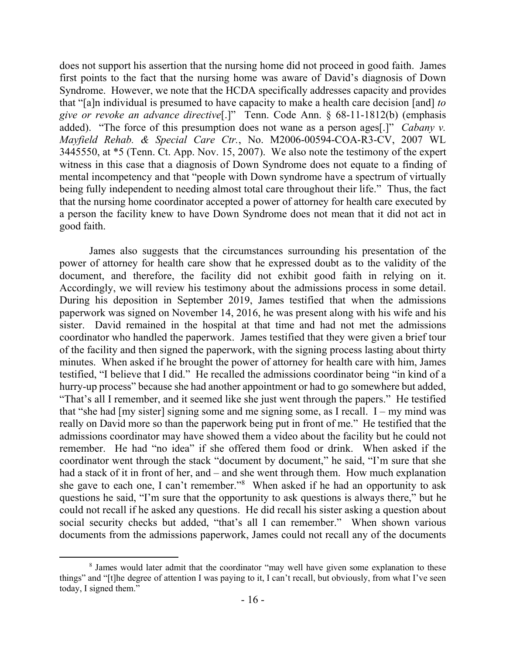does not support his assertion that the nursing home did not proceed in good faith. James first points to the fact that the nursing home was aware of David's diagnosis of Down Syndrome. However, we note that the HCDA specifically addresses capacity and provides that "[a]n individual is presumed to have capacity to make a health care decision [and] *to give or revoke an advance directive*[.]" Tenn. Code Ann. § 68-11-1812(b) (emphasis added). "The force of this presumption does not wane as a person ages[.]" *Cabany v. Mayfield Rehab. & Special Care Ctr.*, No. M2006-00594-COA-R3-CV, 2007 WL 3445550, at \*5 (Tenn. Ct. App. Nov. 15, 2007). We also note the testimony of the expert witness in this case that a diagnosis of Down Syndrome does not equate to a finding of mental incompetency and that "people with Down syndrome have a spectrum of virtually being fully independent to needing almost total care throughout their life." Thus, the fact that the nursing home coordinator accepted a power of attorney for health care executed by a person the facility knew to have Down Syndrome does not mean that it did not act in good faith.

James also suggests that the circumstances surrounding his presentation of the power of attorney for health care show that he expressed doubt as to the validity of the document, and therefore, the facility did not exhibit good faith in relying on it. Accordingly, we will review his testimony about the admissions process in some detail. During his deposition in September 2019, James testified that when the admissions paperwork was signed on November 14, 2016, he was present along with his wife and his sister. David remained in the hospital at that time and had not met the admissions coordinator who handled the paperwork. James testified that they were given a brief tour of the facility and then signed the paperwork, with the signing process lasting about thirty minutes. When asked if he brought the power of attorney for health care with him, James testified, "I believe that I did." He recalled the admissions coordinator being "in kind of a hurry-up process" because she had another appointment or had to go somewhere but added, "That's all I remember, and it seemed like she just went through the papers." He testified that "she had  $[my]$  sister signing some and me signing some, as I recall. I – my mind was really on David more so than the paperwork being put in front of me." He testified that the admissions coordinator may have showed them a video about the facility but he could not remember. He had "no idea" if she offered them food or drink. When asked if the coordinator went through the stack "document by document," he said, "I'm sure that she had a stack of it in front of her, and – and she went through them. How much explanation she gave to each one, I can't remember."<sup>8</sup> When asked if he had an opportunity to ask questions he said, "I'm sure that the opportunity to ask questions is always there," but he could not recall if he asked any questions. He did recall his sister asking a question about social security checks but added, "that's all I can remember." When shown various documents from the admissions paperwork, James could not recall any of the documents

<sup>&</sup>lt;sup>8</sup> James would later admit that the coordinator "may well have given some explanation to these things" and "[t]he degree of attention I was paying to it, I can't recall, but obviously, from what I've seen today, I signed them."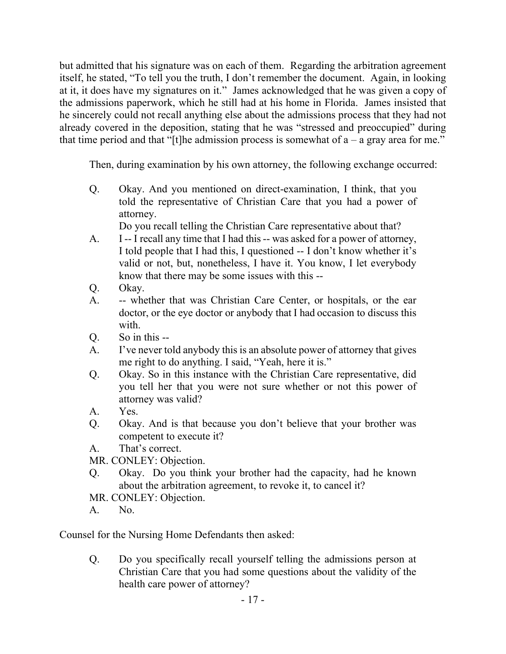but admitted that his signature was on each of them. Regarding the arbitration agreement itself, he stated, "To tell you the truth, I don't remember the document. Again, in looking at it, it does have my signatures on it." James acknowledged that he was given a copy of the admissions paperwork, which he still had at his home in Florida. James insisted that he sincerely could not recall anything else about the admissions process that they had not already covered in the deposition, stating that he was "stressed and preoccupied" during that time period and that "[t]he admission process is somewhat of  $a - a$  gray area for me."

Then, during examination by his own attorney, the following exchange occurred:

Q. Okay. And you mentioned on direct-examination, I think, that you told the representative of Christian Care that you had a power of attorney.

Do you recall telling the Christian Care representative about that?

- A. I -- I recall any time that I had this -- was asked for a power of attorney, I told people that I had this, I questioned -- I don't know whether it's valid or not, but, nonetheless, I have it. You know, I let everybody know that there may be some issues with this --
- Q. Okay.
- A. -- whether that was Christian Care Center, or hospitals, or the ear doctor, or the eye doctor or anybody that I had occasion to discuss this with.
- Q. So in this --
- A. I've never told anybody this is an absolute power of attorney that gives me right to do anything. I said, "Yeah, here it is."
- Q. Okay. So in this instance with the Christian Care representative, did you tell her that you were not sure whether or not this power of attorney was valid?
- A. Yes.
- Q. Okay. And is that because you don't believe that your brother was competent to execute it?
- A. That's correct.

MR. CONLEY: Objection.

- Q. Okay. Do you think your brother had the capacity, had he known about the arbitration agreement, to revoke it, to cancel it?
- MR. CONLEY: Objection.
- A. No.

Counsel for the Nursing Home Defendants then asked:

Q. Do you specifically recall yourself telling the admissions person at Christian Care that you had some questions about the validity of the health care power of attorney?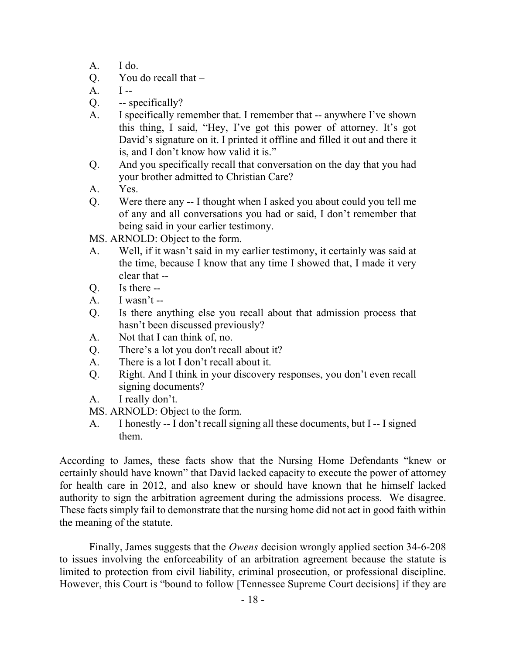- A. I do.
- Q. You do recall that –
- $A. \qquad I$  --
- Q. -- specifically?
- A. I specifically remember that. I remember that -- anywhere I've shown this thing, I said, "Hey, I've got this power of attorney. It's got David's signature on it. I printed it offline and filled it out and there it is, and I don't know how valid it is."
- Q. And you specifically recall that conversation on the day that you had your brother admitted to Christian Care?
- A. Yes.
- Q. Were there any -- I thought when I asked you about could you tell me of any and all conversations you had or said, I don't remember that being said in your earlier testimony.

MS. ARNOLD: Object to the form.

- A. Well, if it wasn't said in my earlier testimony, it certainly was said at the time, because I know that any time I showed that, I made it very clear that --
- Q. Is there --
- A. I wasn't  $-$
- Q. Is there anything else you recall about that admission process that hasn't been discussed previously?
- A. Not that I can think of, no.
- Q. There's a lot you don't recall about it?
- A. There is a lot I don't recall about it.
- Q. Right. And I think in your discovery responses, you don't even recall signing documents?
- A. I really don't.
- MS. ARNOLD: Object to the form.
- A. I honestly -- I don't recall signing all these documents, but I -- I signed them.

According to James, these facts show that the Nursing Home Defendants "knew or certainly should have known" that David lacked capacity to execute the power of attorney for health care in 2012, and also knew or should have known that he himself lacked authority to sign the arbitration agreement during the admissions process. We disagree. These facts simply fail to demonstrate that the nursing home did not act in good faith within the meaning of the statute.

Finally, James suggests that the *Owens* decision wrongly applied section 34-6-208 to issues involving the enforceability of an arbitration agreement because the statute is limited to protection from civil liability, criminal prosecution, or professional discipline. However, this Court is "bound to follow [Tennessee Supreme Court decisions] if they are